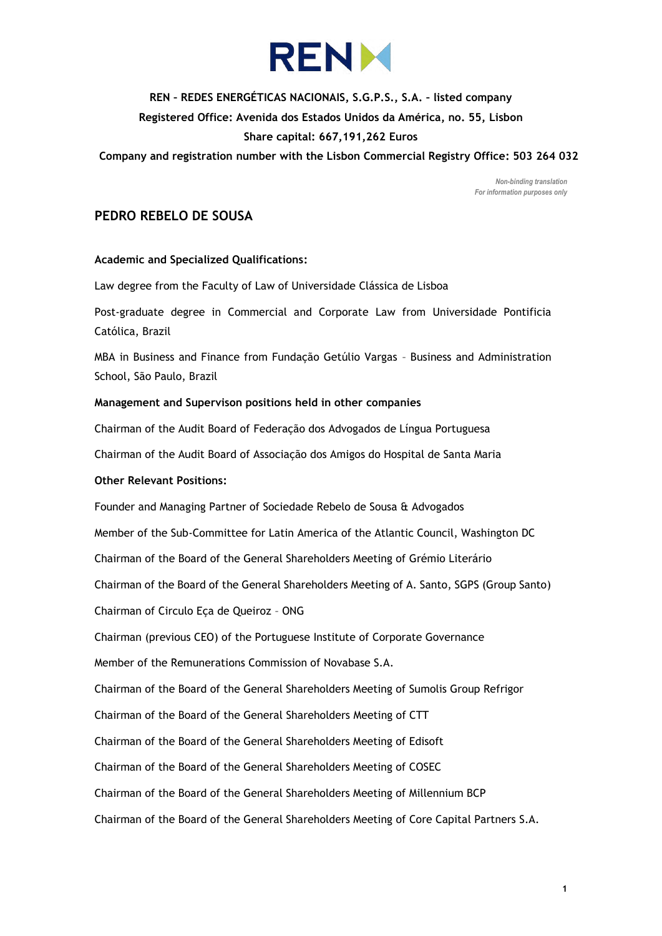

# **REN – REDES ENERGÉTICAS NACIONAIS, S.G.P.S., S.A. – listed company Registered Office: Avenida dos Estados Unidos da América, no. 55, Lisbon Share capital: 667,191,262 Euros**

**Company and registration number with the Lisbon Commercial Registry Office: 503 264 032**

*Non-binding translation For information purposes only*

# **PEDRO REBELO DE SOUSA**

#### **Academic and Specialized Qualifications:**

Law degree from the Faculty of Law of Universidade Clássica de Lisboa

Post-graduate degree in Commercial and Corporate Law from Universidade Pontificia Católica, Brazil

MBA in Business and Finance from Fundação Getúlio Vargas – Business and Administration School, São Paulo, Brazil

#### **Management and Supervison positions held in other companies**

Chairman of the Audit Board of Federação dos Advogados de Língua Portuguesa

Chairman of the Audit Board of Associação dos Amigos do Hospital de Santa Maria

## **Other Relevant Positions:**

Founder and Managing Partner of Sociedade Rebelo de Sousa & Advogados Member of the Sub-Committee for Latin America of the Atlantic Council, Washington DC Chairman of the Board of the General Shareholders Meeting of Grémio Literário Chairman of the Board of the General Shareholders Meeting of A. Santo, SGPS (Group Santo) Chairman of Circulo Eça de Queiroz – ONG Chairman (previous CEO) of the Portuguese Institute of Corporate Governance Member of the Remunerations Commission of Novabase S.A. Chairman of the Board of the General Shareholders Meeting of Sumolis Group Refrigor Chairman of the Board of the General Shareholders Meeting of CTT Chairman of the Board of the General Shareholders Meeting of Edisoft Chairman of the Board of the General Shareholders Meeting of COSEC Chairman of the Board of the General Shareholders Meeting of Millennium BCP Chairman of the Board of the General Shareholders Meeting of Core Capital Partners S.A.